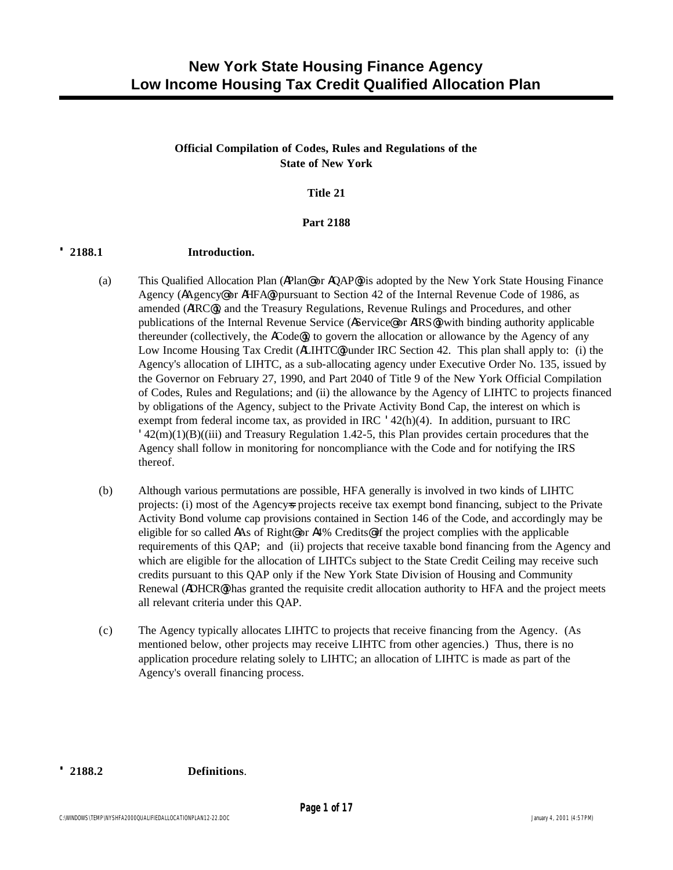# **New York State Housing Finance Agency Low Income Housing Tax Credit Qualified Allocation Plan**

# **Official Compilation of Codes, Rules and Regulations of the State of New York**

# **Title 21**

#### **Part 2188**

## **'' 2188.1 Introduction.**

- (a) This Qualified Allocation Plan (APlan@ or AQAP@) is adopted by the New York State Housing Finance Agency (AAgency@ or AHFA@) pursuant to Section 42 of the Internal Revenue Code of 1986, as amended (AIRC@), and the Treasury Regulations, Revenue Rulings and Procedures, and other publications of the Internal Revenue Service (AService@ or AIRS@) with binding authority applicable thereunder (collectively, the ACode@), to govern the allocation or allowance by the Agency of any Low Income Housing Tax Credit (ALIHTC<sup>®</sup>) under IRC Section 42. This plan shall apply to: (i) the Agency's allocation of LIHTC, as a sub-allocating agency under Executive Order No. 135, issued by the Governor on February 27, 1990, and Part 2040 of Title 9 of the New York Official Compilation of Codes, Rules and Regulations; and (ii) the allowance by the Agency of LIHTC to projects financed by obligations of the Agency, subject to the Private Activity Bond Cap, the interest on which is exempt from federal income tax, as provided in IRC  $\text{L}^2(42(h)(4)$ . In addition, pursuant to IRC '42(m)(1)(B)((iii) and Treasury Regulation 1.42-5, this Plan provides certain procedures that the Agency shall follow in monitoring for noncompliance with the Code and for notifying the IRS thereof.
- (b) Although various permutations are possible, HFA generally is involved in two kinds of LIHTC projects: (i) most of the Agency-s projects receive tax exempt bond financing, subject to the Private Activity Bond volume cap provisions contained in Section 146 of the Code, and accordingly may be eligible for so called AAs of Right@ or A4% Credits@ if the project complies with the applicable requirements of this QAP; and (ii) projects that receive taxable bond financing from the Agency and which are eligible for the allocation of LIHTCs subject to the State Credit Ceiling may receive such credits pursuant to this QAP only if the New York State Division of Housing and Community Renewal (ADHCR@) has granted the requisite credit allocation authority to HFA and the project meets all relevant criteria under this QAP.
- (c) The Agency typically allocates LIHTC to projects that receive financing from the Agency. (As mentioned below, other projects may receive LIHTC from other agencies.) Thus, there is no application procedure relating solely to LIHTC; an allocation of LIHTC is made as part of the Agency's overall financing process.

#### **'' 2188.2 Definitions**.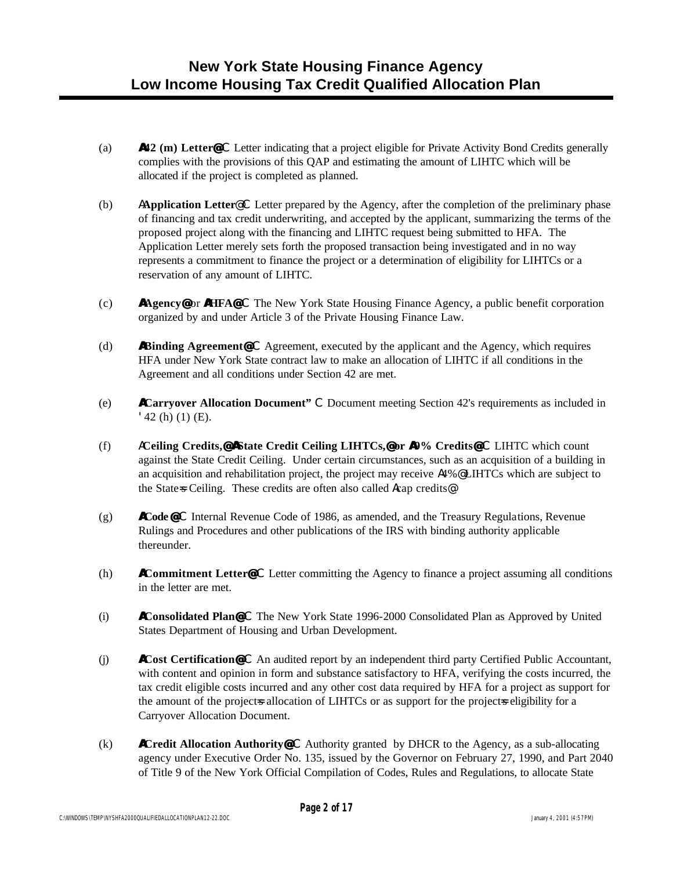- (a) **A42 (m) Letter@** C Letter indicating that a project eligible for Private Activity Bond Credits generally complies with the provisions of this QAP and estimating the amount of LIHTC which will be allocated if the project is completed as planned.
- (b) A**Application Letter**@ C Letter prepared by the Agency, after the completion of the preliminary phase of financing and tax credit underwriting, and accepted by the applicant, summarizing the terms of the proposed project along with the financing and LIHTC request being submitted to HFA. The Application Letter merely sets forth the proposed transaction being investigated and in no way represents a commitment to finance the project or a determination of eligibility for LIHTCs or a reservation of any amount of LIHTC.
- (c) **AAgency@** or **AHFA@** C The New York State Housing Finance Agency, a public benefit corporation organized by and under Article 3 of the Private Housing Finance Law.
- (d) **ABinding Agreement@** C Agreement, executed by the applicant and the Agency, which requires HFA under New York State contract law to make an allocation of LIHTC if all conditions in the Agreement and all conditions under Section 42 are met.
- (e) **ACarryover Allocation Document"** C Document meeting Section 42's requirements as included in ' 42 (h) (1) (E).
- (f) A**Ceiling Credits,@ AState Credit Ceiling LIHTCs,@ or A9% Credits@** C LIHTC which count against the State Credit Ceiling. Under certain circumstances, such as an acquisition of a building in an acquisition and rehabilitation project, the project may receive A4%@ LIHTCs which are subject to the State-s Ceiling. These credits are often also called Acap credits@.
- (g) **ACode @** C Internal Revenue Code of 1986, as amended, and the Treasury Regulations, Revenue Rulings and Procedures and other publications of the IRS with binding authority applicable thereunder.
- (h) **ACommitment Letter@** C Letter committing the Agency to finance a project assuming all conditions in the letter are met.
- (i) **AConsolidated Plan@** C The New York State 1996-2000 Consolidated Plan as Approved by United States Department of Housing and Urban Development.
- (j) **ACost Certification@** C An audited report by an independent third party Certified Public Accountant, with content and opinion in form and substance satisfactory to HFA, verifying the costs incurred, the tax credit eligible costs incurred and any other cost data required by HFA for a project as support for the amount of the projects allocation of LIHTCs or as support for the projects eligibility for a Carryover Allocation Document.
- (k) **ACredit Allocation Authority@** C Authority granted by DHCR to the Agency, as a sub-allocating agency under Executive Order No. 135, issued by the Governor on February 27, 1990, and Part 2040 of Title 9 of the New York Official Compilation of Codes, Rules and Regulations, to allocate State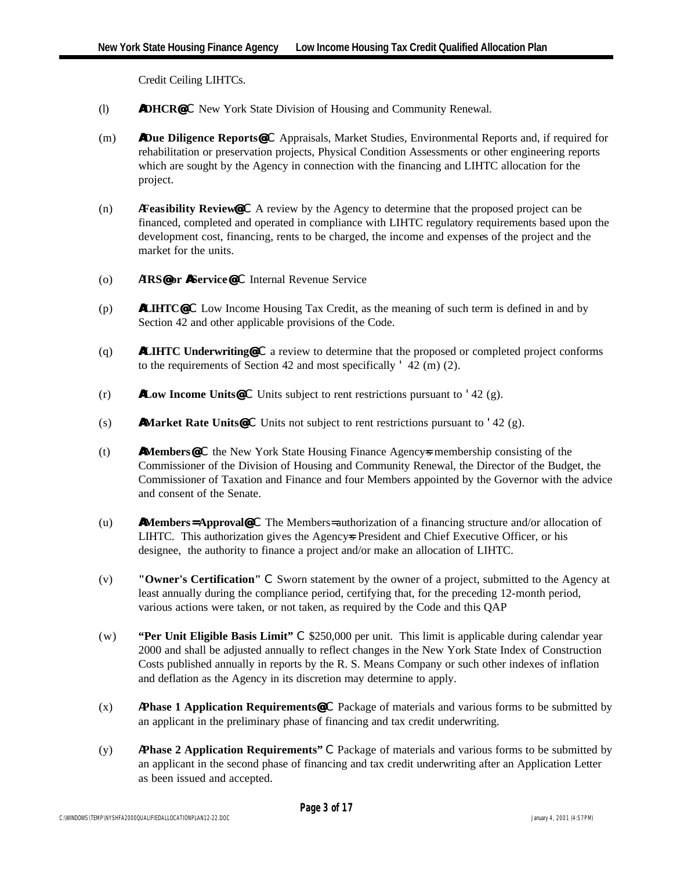Credit Ceiling LIHTCs.

- (l) **ADHCR@** C New York State Division of Housing and Community Renewal.
- (m) **ADue Diligence Reports@** C Appraisals, Market Studies, Environmental Reports and, if required for rehabilitation or preservation projects, Physical Condition Assessments or other engineering reports which are sought by the Agency in connection with the financing and LIHTC allocation for the project.
- (n) A**Feasibility Review@** C A review by the Agency to determine that the proposed project can be financed, completed and operated in compliance with LIHTC regulatory requirements based upon the development cost, financing, rents to be charged, the income and expenses of the project and the market for the units.
- (o) A**IRS@ or AService @** C Internal Revenue Service
- (p) **ALIHTC@** C Low Income Housing Tax Credit, as the meaning of such term is defined in and by Section 42 and other applicable provisions of the Code.
- (q) **ALIHTC Underwriting@** C a review to determine that the proposed or completed project conforms to the requirements of Section 42 and most specifically ' 42 (m) (2).
- (r) **ALow Income Units** $\mathbf{C}$  Units subject to rent restrictions pursuant to '42 (g).
- (s) **AMarket Rate Units@** C Units not subject to rent restrictions pursuant to '42 (g).
- (t) **AMembers@** C the New York State Housing Finance Agency=s membership consisting of the Commissioner of the Division of Housing and Community Renewal, the Director of the Budget, the Commissioner of Taxation and Finance and four Members appointed by the Governor with the advice and consent of the Senate.
- (u) **AMembers= Approval@** C The Members= authorization of a financing structure and/or allocation of LIHTC. This authorization gives the Agencys President and Chief Executive Officer, or his designee, the authority to finance a project and/or make an allocation of LIHTC.
- (v) **"Owner's Certification"** C Sworn statement by the owner of a project, submitted to the Agency at least annually during the compliance period, certifying that, for the preceding 12-month period, various actions were taken, or not taken, as required by the Code and this QAP
- (w) **"Per Unit Eligible Basis Limit"** C \$250,000 per unit. This limit is applicable during calendar year 2000 and shall be adjusted annually to reflect changes in the New York State Index of Construction Costs published annually in reports by the R. S. Means Company or such other indexes of inflation and deflation as the Agency in its discretion may determine to apply.
- (x) A**Phase 1 Application Requirements@** C Package of materials and various forms to be submitted by an applicant in the preliminary phase of financing and tax credit underwriting.
- (y) A**Phase 2 Application Requirements"** C Package of materials and various forms to be submitted by an applicant in the second phase of financing and tax credit underwriting after an Application Letter as been issued and accepted.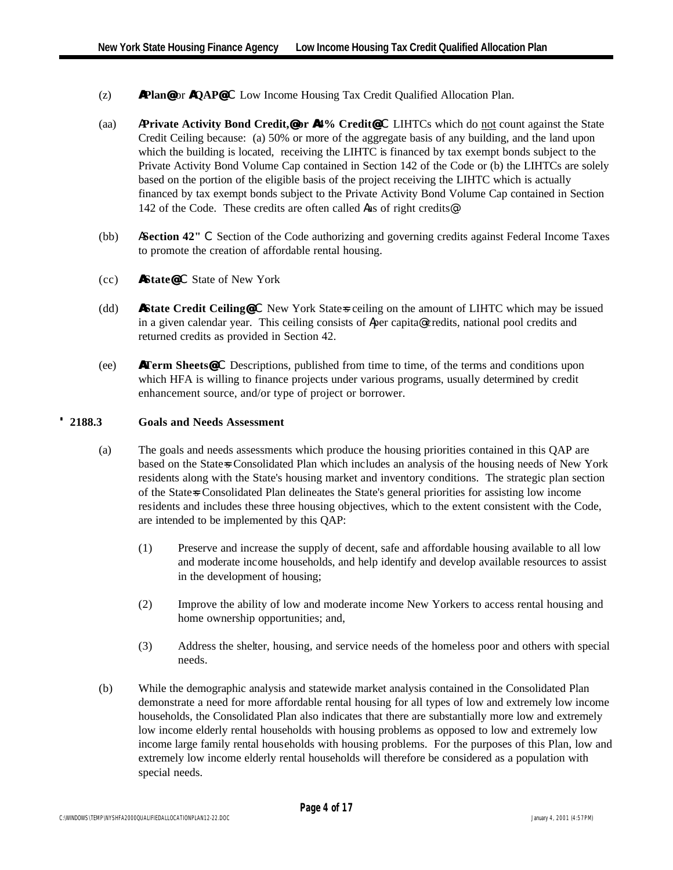- (z) **APlan@** or **AQAP@** C Low Income Housing Tax Credit Qualified Allocation Plan.
- (aa) A**Private Activity Bond Credit,@ or A4% Credit@** C LIHTCs which do not count against the State Credit Ceiling because: (a) 50% or more of the aggregate basis of any building, and the land upon which the building is located, receiving the LIHTC is financed by tax exempt bonds subject to the Private Activity Bond Volume Cap contained in Section 142 of the Code or (b) the LIHTCs are solely based on the portion of the eligible basis of the project receiving the LIHTC which is actually financed by tax exempt bonds subject to the Private Activity Bond Volume Cap contained in Section 142 of the Code. These credits are often called Aas of right credits@.
- (bb) A**Section 42"** C Section of the Code authorizing and governing credits against Federal Income Taxes to promote the creation of affordable rental housing.
- (cc) **AState@** C State of New York
- (dd) **AState Credit Ceiling@** C New York State=s ceiling on the amount of LIHTC which may be issued in a given calendar year. This ceiling consists of Aper capita@ credits, national pool credits and returned credits as provided in Section 42.
- (ee) **ATerm Sheets@** C Descriptions, published from time to time, of the terms and conditions upon which HFA is willing to finance projects under various programs, usually determined by credit enhancement source, and/or type of project or borrower.

## **'' 2188.3 Goals and Needs Assessment**

- (a) The goals and needs assessments which produce the housing priorities contained in this QAP are based on the State-s Consolidated Plan which includes an analysis of the housing needs of New York residents along with the State's housing market and inventory conditions. The strategic plan section of the State=s Consolidated Plan delineates the State's general priorities for assisting low income residents and includes these three housing objectives, which to the extent consistent with the Code, are intended to be implemented by this QAP:
	- (1) Preserve and increase the supply of decent, safe and affordable housing available to all low and moderate income households, and help identify and develop available resources to assist in the development of housing;
	- (2) Improve the ability of low and moderate income New Yorkers to access rental housing and home ownership opportunities; and,
	- (3) Address the shelter, housing, and service needs of the homeless poor and others with special needs.
- (b) While the demographic analysis and statewide market analysis contained in the Consolidated Plan demonstrate a need for more affordable rental housing for all types of low and extremely low income households, the Consolidated Plan also indicates that there are substantially more low and extremely low income elderly rental households with housing problems as opposed to low and extremely low income large family rental households with housing problems. For the purposes of this Plan, low and extremely low income elderly rental households will therefore be considered as a population with special needs.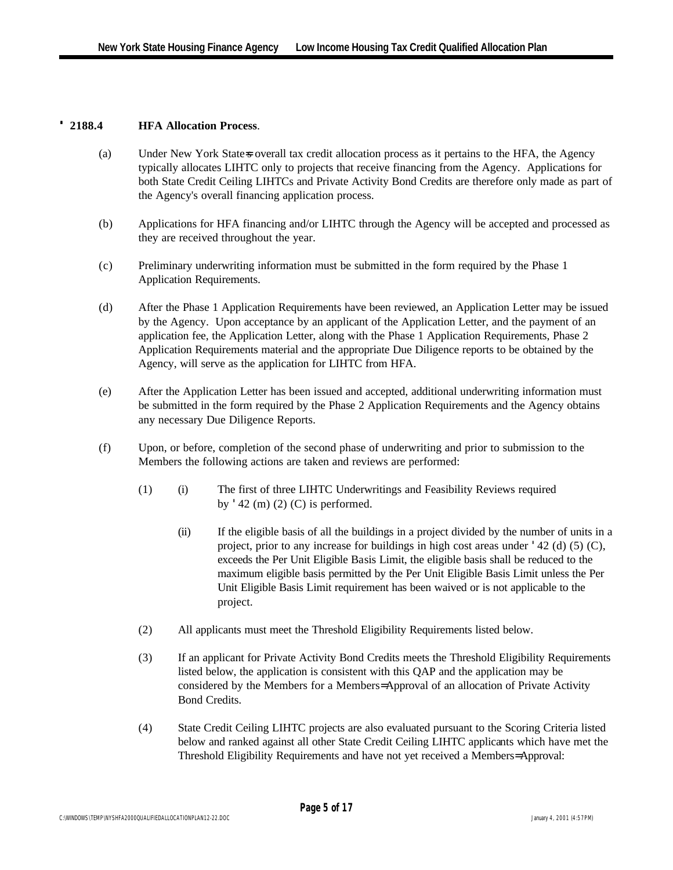#### **'' 2188.4 HFA Allocation Process**.

- (a) Under New York State=s overall tax credit allocation process as it pertains to the HFA, the Agency typically allocates LIHTC only to projects that receive financing from the Agency. Applications for both State Credit Ceiling LIHTCs and Private Activity Bond Credits are therefore only made as part of the Agency's overall financing application process.
- (b) Applications for HFA financing and/or LIHTC through the Agency will be accepted and processed as they are received throughout the year.
- (c) Preliminary underwriting information must be submitted in the form required by the Phase 1 Application Requirements.
- (d) After the Phase 1 Application Requirements have been reviewed, an Application Letter may be issued by the Agency. Upon acceptance by an applicant of the Application Letter, and the payment of an application fee, the Application Letter, along with the Phase 1 Application Requirements, Phase 2 Application Requirements material and the appropriate Due Diligence reports to be obtained by the Agency, will serve as the application for LIHTC from HFA.
- (e) After the Application Letter has been issued and accepted, additional underwriting information must be submitted in the form required by the Phase 2 Application Requirements and the Agency obtains any necessary Due Diligence Reports.
- (f) Upon, or before, completion of the second phase of underwriting and prior to submission to the Members the following actions are taken and reviews are performed:
	- (1) (i) The first of three LIHTC Underwritings and Feasibility Reviews required by  $\text{'}42 \text{ (m)} (2) (C)$  is performed.
		- (ii) If the eligible basis of all the buildings in a project divided by the number of units in a project, prior to any increase for buildings in high cost areas under  $42$  (d) (5) (C), exceeds the Per Unit Eligible Basis Limit, the eligible basis shall be reduced to the maximum eligible basis permitted by the Per Unit Eligible Basis Limit unless the Per Unit Eligible Basis Limit requirement has been waived or is not applicable to the project.
	- (2) All applicants must meet the Threshold Eligibility Requirements listed below.
	- (3) If an applicant for Private Activity Bond Credits meets the Threshold Eligibility Requirements listed below, the application is consistent with this QAP and the application may be considered by the Members for a Members= Approval of an allocation of Private Activity Bond Credits.
	- (4) State Credit Ceiling LIHTC projects are also evaluated pursuant to the Scoring Criteria listed below and ranked against all other State Credit Ceiling LIHTC applicants which have met the Threshold Eligibility Requirements and have not yet received a Members= Approval: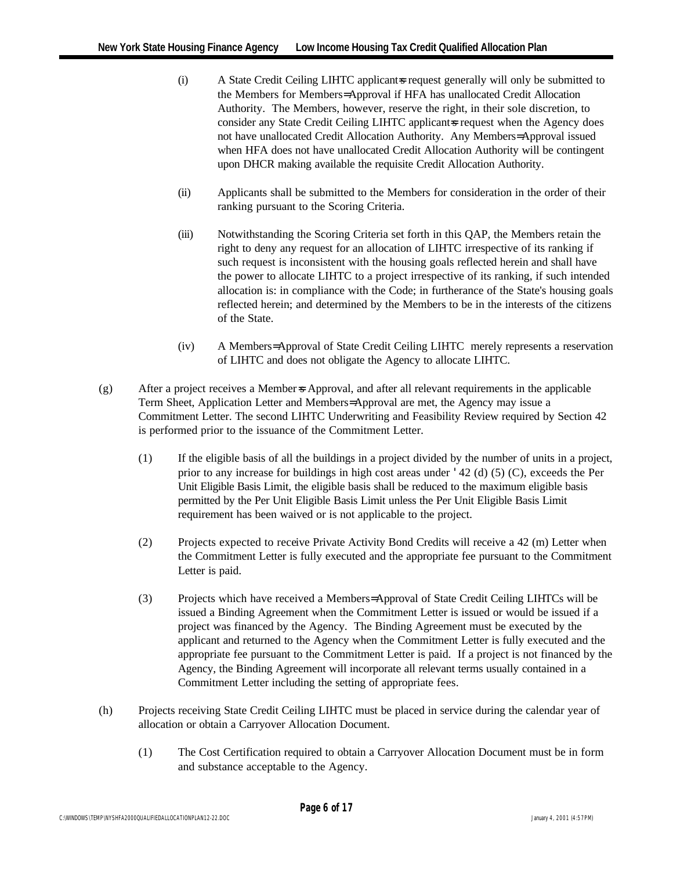- (i) A State Credit Ceiling LIHTC applicant = request generally will only be submitted to the Members for Members= Approval if HFA has unallocated Credit Allocation Authority. The Members, however, reserve the right, in their sole discretion, to consider any State Credit Ceiling LIHTC applicant is request when the Agency does not have unallocated Credit Allocation Authority. Any Members= Approval issued when HFA does not have unallocated Credit Allocation Authority will be contingent upon DHCR making available the requisite Credit Allocation Authority.
- (ii) Applicants shall be submitted to the Members for consideration in the order of their ranking pursuant to the Scoring Criteria.
- (iii) Notwithstanding the Scoring Criteria set forth in this QAP, the Members retain the right to deny any request for an allocation of LIHTC irrespective of its ranking if such request is inconsistent with the housing goals reflected herein and shall have the power to allocate LIHTC to a project irrespective of its ranking, if such intended allocation is: in compliance with the Code; in furtherance of the State's housing goals reflected herein; and determined by the Members to be in the interests of the citizens of the State.
- (iv) A Members= Approval of State Credit Ceiling LIHTC merely represents a reservation of LIHTC and does not obligate the Agency to allocate LIHTC.
- (g) After a project receives a Member=s Approval, and after all relevant requirements in the applicable Term Sheet, Application Letter and Members= Approval are met, the Agency may issue a Commitment Letter. The second LIHTC Underwriting and Feasibility Review required by Section 42 is performed prior to the issuance of the Commitment Letter.
	- (1) If the eligible basis of all the buildings in a project divided by the number of units in a project, prior to any increase for buildings in high cost areas under '42 (d) (5) (C), exceeds the Per Unit Eligible Basis Limit, the eligible basis shall be reduced to the maximum eligible basis permitted by the Per Unit Eligible Basis Limit unless the Per Unit Eligible Basis Limit requirement has been waived or is not applicable to the project.
	- (2) Projects expected to receive Private Activity Bond Credits will receive a 42 (m) Letter when the Commitment Letter is fully executed and the appropriate fee pursuant to the Commitment Letter is paid.
	- (3) Projects which have received a Members= Approval of State Credit Ceiling LIHTCs will be issued a Binding Agreement when the Commitment Letter is issued or would be issued if a project was financed by the Agency. The Binding Agreement must be executed by the applicant and returned to the Agency when the Commitment Letter is fully executed and the appropriate fee pursuant to the Commitment Letter is paid. If a project is not financed by the Agency, the Binding Agreement will incorporate all relevant terms usually contained in a Commitment Letter including the setting of appropriate fees.
- (h) Projects receiving State Credit Ceiling LIHTC must be placed in service during the calendar year of allocation or obtain a Carryover Allocation Document.
	- (1) The Cost Certification required to obtain a Carryover Allocation Document must be in form and substance acceptable to the Agency.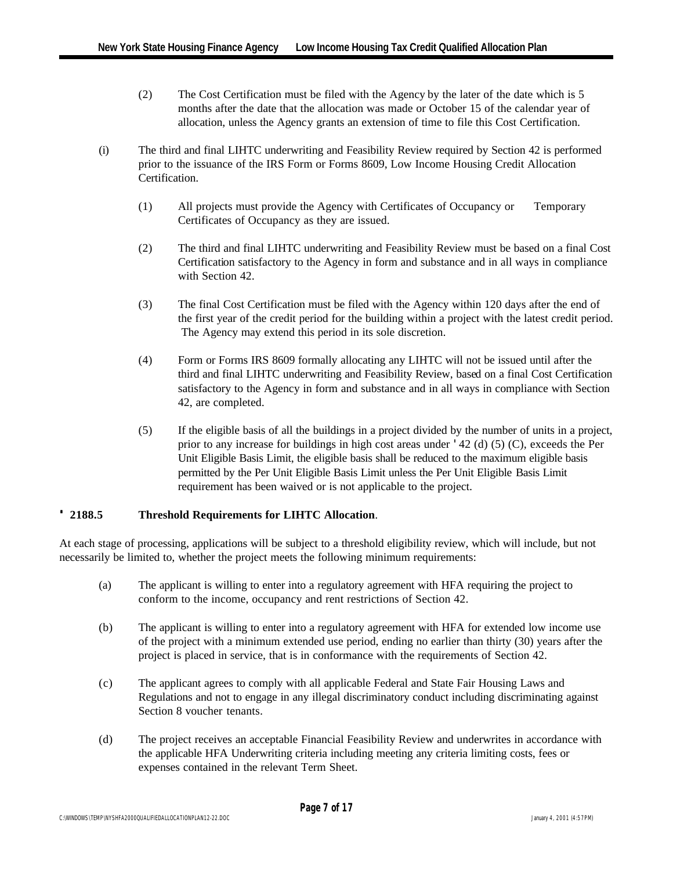- (2) The Cost Certification must be filed with the Agency by the later of the date which is 5 months after the date that the allocation was made or October 15 of the calendar year of allocation, unless the Agency grants an extension of time to file this Cost Certification.
- (i) The third and final LIHTC underwriting and Feasibility Review required by Section 42 is performed prior to the issuance of the IRS Form or Forms 8609, Low Income Housing Credit Allocation Certification.
	- (1) All projects must provide the Agency with Certificates of Occupancy or Temporary Certificates of Occupancy as they are issued.
	- (2) The third and final LIHTC underwriting and Feasibility Review must be based on a final Cost Certification satisfactory to the Agency in form and substance and in all ways in compliance with Section 42.
	- (3) The final Cost Certification must be filed with the Agency within 120 days after the end of the first year of the credit period for the building within a project with the latest credit period. The Agency may extend this period in its sole discretion.
	- (4) Form or Forms IRS 8609 formally allocating any LIHTC will not be issued until after the third and final LIHTC underwriting and Feasibility Review, based on a final Cost Certification satisfactory to the Agency in form and substance and in all ways in compliance with Section 42, are completed.
	- (5) If the eligible basis of all the buildings in a project divided by the number of units in a project, prior to any increase for buildings in high cost areas under '42 (d) (5) (C), exceeds the Per Unit Eligible Basis Limit, the eligible basis shall be reduced to the maximum eligible basis permitted by the Per Unit Eligible Basis Limit unless the Per Unit Eligible Basis Limit requirement has been waived or is not applicable to the project.

## **'' 2188.5 Threshold Requirements for LIHTC Allocation**.

At each stage of processing, applications will be subject to a threshold eligibility review, which will include, but not necessarily be limited to, whether the project meets the following minimum requirements:

- (a) The applicant is willing to enter into a regulatory agreement with HFA requiring the project to conform to the income, occupancy and rent restrictions of Section 42.
- (b) The applicant is willing to enter into a regulatory agreement with HFA for extended low income use of the project with a minimum extended use period, ending no earlier than thirty (30) years after the project is placed in service, that is in conformance with the requirements of Section 42.
- (c) The applicant agrees to comply with all applicable Federal and State Fair Housing Laws and Regulations and not to engage in any illegal discriminatory conduct including discriminating against Section 8 voucher tenants.
- (d) The project receives an acceptable Financial Feasibility Review and underwrites in accordance with the applicable HFA Underwriting criteria including meeting any criteria limiting costs, fees or expenses contained in the relevant Term Sheet.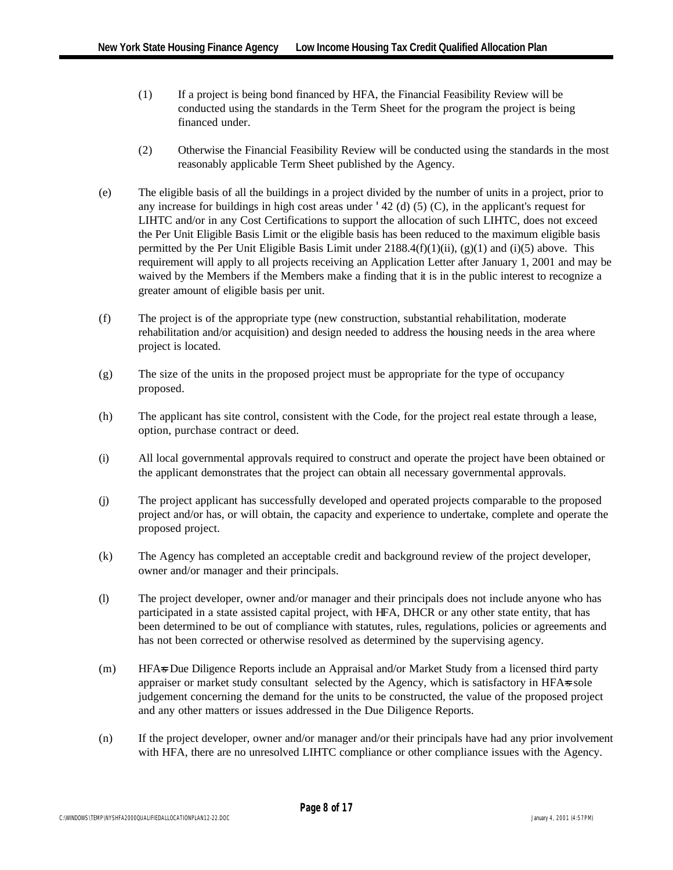- (1) If a project is being bond financed by HFA, the Financial Feasibility Review will be conducted using the standards in the Term Sheet for the program the project is being financed under.
- (2) Otherwise the Financial Feasibility Review will be conducted using the standards in the most reasonably applicable Term Sheet published by the Agency.
- (e) The eligible basis of all the buildings in a project divided by the number of units in a project, prior to any increase for buildings in high cost areas under  $42$  (d) (5) (C), in the applicant's request for LIHTC and/or in any Cost Certifications to support the allocation of such LIHTC, does not exceed the Per Unit Eligible Basis Limit or the eligible basis has been reduced to the maximum eligible basis permitted by the Per Unit Eligible Basis Limit under  $2188.4(f)(1)(ii)$ , (g)(1) and (i)(5) above. This requirement will apply to all projects receiving an Application Letter after January 1, 2001 and may be waived by the Members if the Members make a finding that it is in the public interest to recognize a greater amount of eligible basis per unit.
- (f) The project is of the appropriate type (new construction, substantial rehabilitation, moderate rehabilitation and/or acquisition) and design needed to address the housing needs in the area where project is located.
- (g) The size of the units in the proposed project must be appropriate for the type of occupancy proposed.
- (h) The applicant has site control, consistent with the Code, for the project real estate through a lease, option, purchase contract or deed.
- (i) All local governmental approvals required to construct and operate the project have been obtained or the applicant demonstrates that the project can obtain all necessary governmental approvals.
- (j) The project applicant has successfully developed and operated projects comparable to the proposed project and/or has, or will obtain, the capacity and experience to undertake, complete and operate the proposed project.
- (k) The Agency has completed an acceptable credit and background review of the project developer, owner and/or manager and their principals.
- (l) The project developer, owner and/or manager and their principals does not include anyone who has participated in a state assisted capital project, with HFA, DHCR or any other state entity, that has been determined to be out of compliance with statutes, rules, regulations, policies or agreements and has not been corrected or otherwise resolved as determined by the supervising agency.
- (m) HFA=s Due Diligence Reports include an Appraisal and/or Market Study from a licensed third party appraiser or market study consultant selected by the Agency, which is satisfactory in HFA=s sole judgement concerning the demand for the units to be constructed, the value of the proposed project and any other matters or issues addressed in the Due Diligence Reports.
- (n) If the project developer, owner and/or manager and/or their principals have had any prior involvement with HFA, there are no unresolved LIHTC compliance or other compliance issues with the Agency.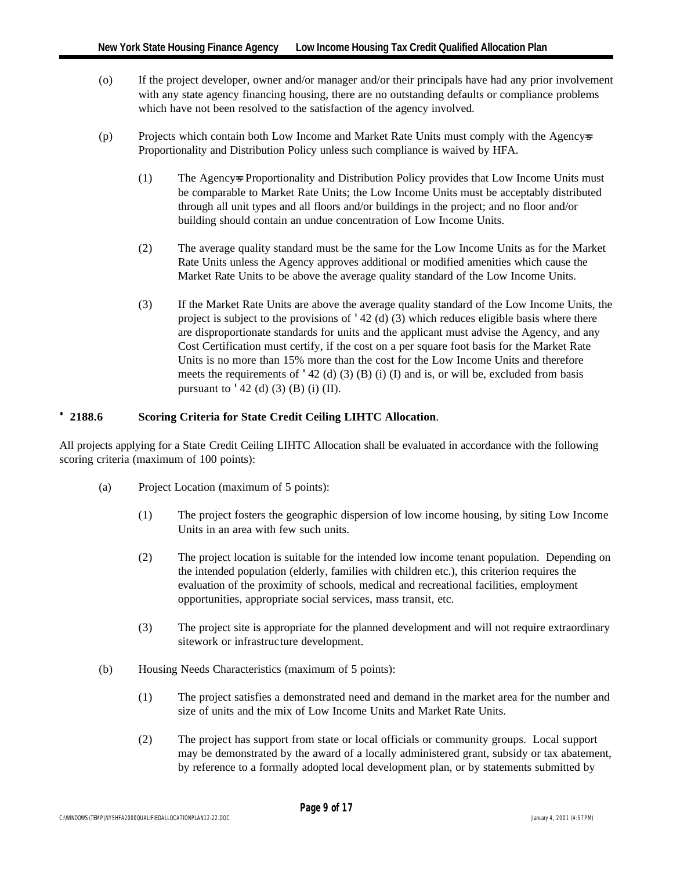- (o) If the project developer, owner and/or manager and/or their principals have had any prior involvement with any state agency financing housing, there are no outstanding defaults or compliance problems which have not been resolved to the satisfaction of the agency involved.
- (p) Projects which contain both Low Income and Market Rate Units must comply with the Agency=s Proportionality and Distribution Policy unless such compliance is waived by HFA.
	- (1) The Agency=s Proportionality and Distribution Policy provides that Low Income Units must be comparable to Market Rate Units; the Low Income Units must be acceptably distributed through all unit types and all floors and/or buildings in the project; and no floor and/or building should contain an undue concentration of Low Income Units.
	- (2) The average quality standard must be the same for the Low Income Units as for the Market Rate Units unless the Agency approves additional or modified amenities which cause the Market Rate Units to be above the average quality standard of the Low Income Units.
	- (3) If the Market Rate Units are above the average quality standard of the Low Income Units, the project is subject to the provisions of '42 (d) (3) which reduces eligible basis where there are disproportionate standards for units and the applicant must advise the Agency, and any Cost Certification must certify, if the cost on a per square foot basis for the Market Rate Units is no more than 15% more than the cost for the Low Income Units and therefore meets the requirements of  $\text{'}42$  (d) (3) (B) (i) (I) and is, or will be, excluded from basis pursuant to  $'42$  (d) (3) (B) (i) (II).

## **'' 2188.6 Scoring Criteria for State Credit Ceiling LIHTC Allocation**.

All projects applying for a State Credit Ceiling LIHTC Allocation shall be evaluated in accordance with the following scoring criteria (maximum of 100 points):

- (a) Project Location (maximum of 5 points):
	- (1) The project fosters the geographic dispersion of low income housing, by siting Low Income Units in an area with few such units.
	- (2) The project location is suitable for the intended low income tenant population. Depending on the intended population (elderly, families with children etc.), this criterion requires the evaluation of the proximity of schools, medical and recreational facilities, employment opportunities, appropriate social services, mass transit, etc.
	- (3) The project site is appropriate for the planned development and will not require extraordinary sitework or infrastructure development.
- (b) Housing Needs Characteristics (maximum of 5 points):
	- (1) The project satisfies a demonstrated need and demand in the market area for the number and size of units and the mix of Low Income Units and Market Rate Units.
	- (2) The project has support from state or local officials or community groups. Local support may be demonstrated by the award of a locally administered grant, subsidy or tax abatement, by reference to a formally adopted local development plan, or by statements submitted by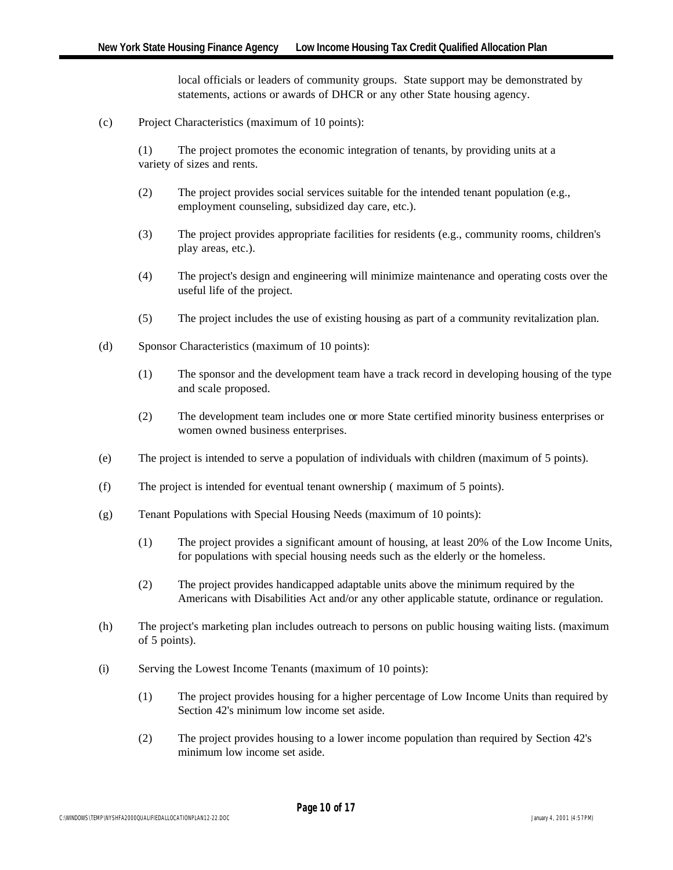local officials or leaders of community groups. State support may be demonstrated by statements, actions or awards of DHCR or any other State housing agency.

(c) Project Characteristics (maximum of 10 points):

(1) The project promotes the economic integration of tenants, by providing units at a variety of sizes and rents.

- (2) The project provides social services suitable for the intended tenant population (e.g., employment counseling, subsidized day care, etc.).
- (3) The project provides appropriate facilities for residents (e.g., community rooms, children's play areas, etc.).
- (4) The project's design and engineering will minimize maintenance and operating costs over the useful life of the project.
- (5) The project includes the use of existing housing as part of a community revitalization plan.
- (d) Sponsor Characteristics (maximum of 10 points):
	- (1) The sponsor and the development team have a track record in developing housing of the type and scale proposed.
	- (2) The development team includes one or more State certified minority business enterprises or women owned business enterprises.
- (e) The project is intended to serve a population of individuals with children (maximum of 5 points).
- (f) The project is intended for eventual tenant ownership ( maximum of 5 points).
- (g) Tenant Populations with Special Housing Needs (maximum of 10 points):
	- (1) The project provides a significant amount of housing, at least 20% of the Low Income Units, for populations with special housing needs such as the elderly or the homeless.
	- (2) The project provides handicapped adaptable units above the minimum required by the Americans with Disabilities Act and/or any other applicable statute, ordinance or regulation.
- (h) The project's marketing plan includes outreach to persons on public housing waiting lists. (maximum of 5 points).
- (i) Serving the Lowest Income Tenants (maximum of 10 points):
	- (1) The project provides housing for a higher percentage of Low Income Units than required by Section 42's minimum low income set aside.
	- (2) The project provides housing to a lower income population than required by Section 42's minimum low income set aside.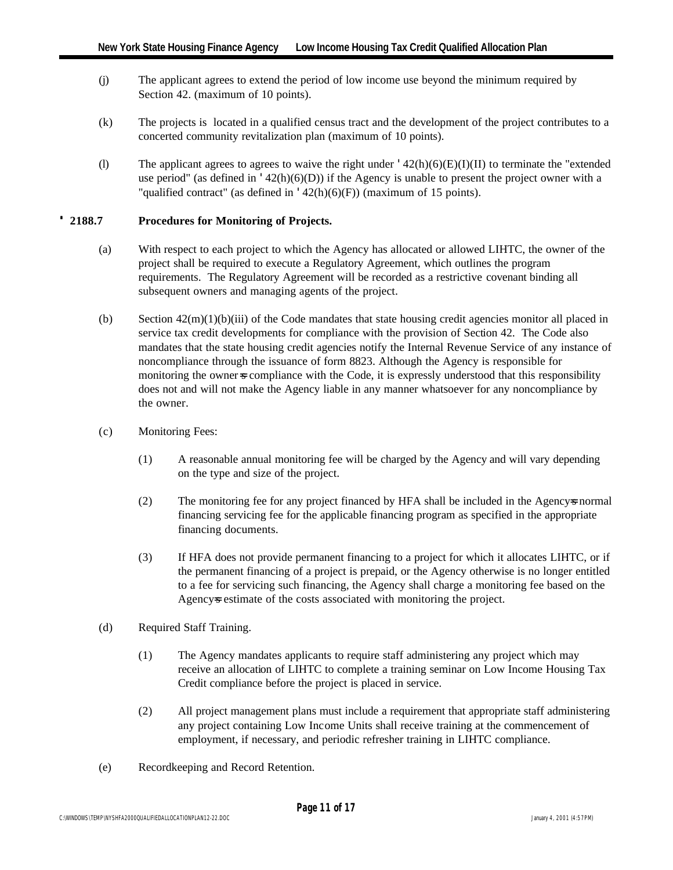- (j) The applicant agrees to extend the period of low income use beyond the minimum required by Section 42. (maximum of 10 points).
- (k) The projects is located in a qualified census tract and the development of the project contributes to a concerted community revitalization plan (maximum of 10 points).
- (l) The applicant agrees to agrees to waive the right under  $42(h)(6)(E)(I)(II)$  to terminate the "extended" use period" (as defined in  $\text{42(h)(6)(D)}$ ) if the Agency is unable to present the project owner with a "qualified contract" (as defined in  $\text{'}42(h)(6)(F)$ ) (maximum of 15 points).

#### **'' 2188.7 Procedures for Monitoring of Projects.**

- (a) With respect to each project to which the Agency has allocated or allowed LIHTC, the owner of the project shall be required to execute a Regulatory Agreement, which outlines the program requirements. The Regulatory Agreement will be recorded as a restrictive covenant binding all subsequent owners and managing agents of the project.
- (b) Section  $42(m)(1)(b)(iii)$  of the Code mandates that state housing credit agencies monitor all placed in service tax credit developments for compliance with the provision of Section 42. The Code also mandates that the state housing credit agencies notify the Internal Revenue Service of any instance of noncompliance through the issuance of form 8823. Although the Agency is responsible for monitoring the owners compliance with the Code, it is expressly understood that this responsibility does not and will not make the Agency liable in any manner whatsoever for any noncompliance by the owner.
- (c) Monitoring Fees:
	- (1) A reasonable annual monitoring fee will be charged by the Agency and will vary depending on the type and size of the project.
	- (2) The monitoring fee for any project financed by HFA shall be included in the Agency snormal financing servicing fee for the applicable financing program as specified in the appropriate financing documents.
	- (3) If HFA does not provide permanent financing to a project for which it allocates LIHTC, or if the permanent financing of a project is prepaid, or the Agency otherwise is no longer entitled to a fee for servicing such financing, the Agency shall charge a monitoring fee based on the Agencys estimate of the costs associated with monitoring the project.
- (d) Required Staff Training.
	- (1) The Agency mandates applicants to require staff administering any project which may receive an allocation of LIHTC to complete a training seminar on Low Income Housing Tax Credit compliance before the project is placed in service.
	- (2) All project management plans must include a requirement that appropriate staff administering any project containing Low Income Units shall receive training at the commencement of employment, if necessary, and periodic refresher training in LIHTC compliance.
- (e) Recordkeeping and Record Retention.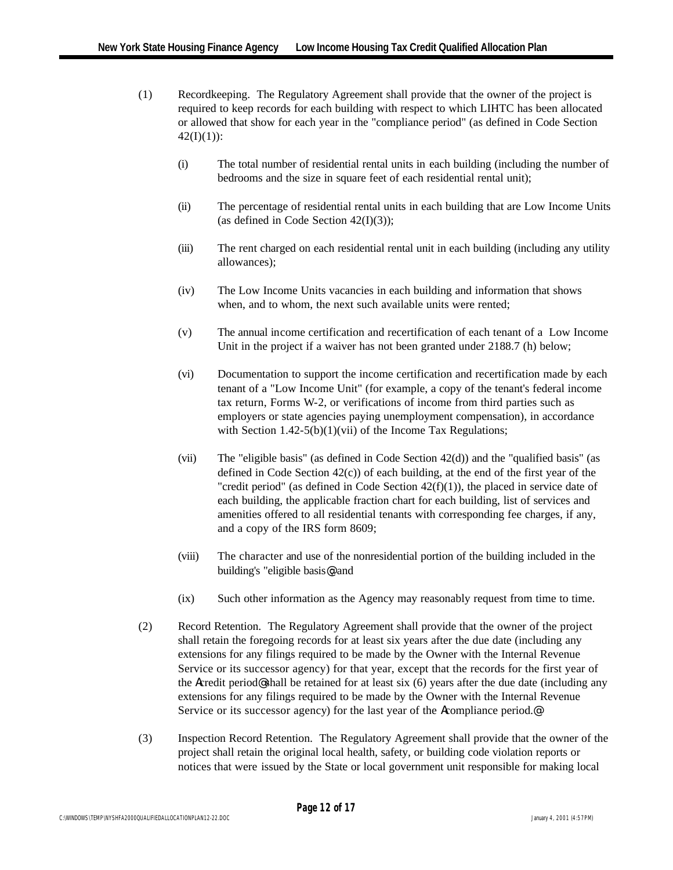- (1) Recordkeeping. The Regulatory Agreement shall provide that the owner of the project is required to keep records for each building with respect to which LIHTC has been allocated or allowed that show for each year in the "compliance period" (as defined in Code Section  $42(I)(1)$ :
	- (i) The total number of residential rental units in each building (including the number of bedrooms and the size in square feet of each residential rental unit);
	- (ii) The percentage of residential rental units in each building that are Low Income Units (as defined in Code Section  $42(I)(3)$ ):
	- (iii) The rent charged on each residential rental unit in each building (including any utility allowances);
	- (iv) The Low Income Units vacancies in each building and information that shows when, and to whom, the next such available units were rented;
	- (v) The annual income certification and recertification of each tenant of a Low Income Unit in the project if a waiver has not been granted under 2188.7 (h) below;
	- (vi) Documentation to support the income certification and recertification made by each tenant of a "Low Income Unit" (for example, a copy of the tenant's federal income tax return, Forms W-2, or verifications of income from third parties such as employers or state agencies paying unemployment compensation), in accordance with Section  $1.42-5(b)(1)(vii)$  of the Income Tax Regulations;
	- (vii) The "eligible basis" (as defined in Code Section 42(d)) and the "qualified basis" (as defined in Code Section 42(c)) of each building, at the end of the first year of the "credit period" (as defined in Code Section  $42(f)(1)$ ), the placed in service date of each building, the applicable fraction chart for each building, list of services and amenities offered to all residential tenants with corresponding fee charges, if any, and a copy of the IRS form 8609;
	- (viii) The character and use of the nonresidential portion of the building included in the building's "eligible basis@; and
	- (ix) Such other information as the Agency may reasonably request from time to time.
- (2) Record Retention. The Regulatory Agreement shall provide that the owner of the project shall retain the foregoing records for at least six years after the due date (including any extensions for any filings required to be made by the Owner with the Internal Revenue Service or its successor agency) for that year, except that the records for the first year of the Acredit period@ shall be retained for at least six (6) years after the due date (including any extensions for any filings required to be made by the Owner with the Internal Revenue Service or its successor agency) for the last year of the Acompliance period.@
- (3) Inspection Record Retention. The Regulatory Agreement shall provide that the owner of the project shall retain the original local health, safety, or building code violation reports or notices that were issued by the State or local government unit responsible for making local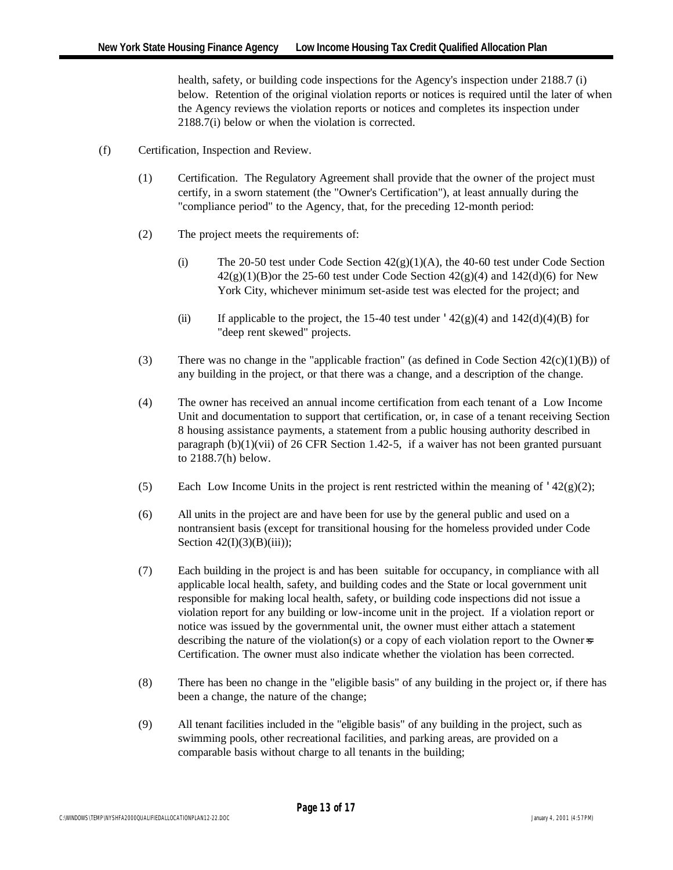health, safety, or building code inspections for the Agency's inspection under 2188.7 (i) below. Retention of the original violation reports or notices is required until the later of when the Agency reviews the violation reports or notices and completes its inspection under 2188.7(i) below or when the violation is corrected.

- (f) Certification, Inspection and Review.
	- (1) Certification. The Regulatory Agreement shall provide that the owner of the project must certify, in a sworn statement (the "Owner's Certification"), at least annually during the "compliance period" to the Agency, that, for the preceding 12-month period:
	- (2) The project meets the requirements of:
		- (i) The 20-50 test under Code Section  $42(g)(1)(A)$ , the 40-60 test under Code Section  $42(g)(1)(B)$ or the 25-60 test under Code Section  $42(g)(4)$  and  $142(d)(6)$  for New York City, whichever minimum set-aside test was elected for the project; and
		- (ii) If applicable to the project, the 15-40 test under  $\binom{42(g)(4)}{4}$  and  $\binom{142(d)(4)(B)}{4}$  for "deep rent skewed" projects.
	- (3) There was no change in the "applicable fraction" (as defined in Code Section  $42(c)(1)(B)$ ) of any building in the project, or that there was a change, and a description of the change.
	- (4) The owner has received an annual income certification from each tenant of a Low Income Unit and documentation to support that certification, or, in case of a tenant receiving Section 8 housing assistance payments, a statement from a public housing authority described in paragraph  $(b)(1)(vi)$  of 26 CFR Section 1.42-5, if a waiver has not been granted pursuant to 2188.7(h) below.
	- (5) Each Low Income Units in the project is rent restricted within the meaning of  $\frac{42(g)(2)}{g}$ ;
	- (6) All units in the project are and have been for use by the general public and used on a nontransient basis (except for transitional housing for the homeless provided under Code Section  $42(I)(3)(B)(iii)$ ;
	- (7) Each building in the project is and has been suitable for occupancy, in compliance with all applicable local health, safety, and building codes and the State or local government unit responsible for making local health, safety, or building code inspections did not issue a violation report for any building or low-income unit in the project. If a violation report or notice was issued by the governmental unit, the owner must either attach a statement describing the nature of the violation(s) or a copy of each violation report to the Owner=s Certification. The owner must also indicate whether the violation has been corrected.
	- (8) There has been no change in the "eligible basis" of any building in the project or, if there has been a change, the nature of the change;
	- (9) All tenant facilities included in the "eligible basis" of any building in the project, such as swimming pools, other recreational facilities, and parking areas, are provided on a comparable basis without charge to all tenants in the building;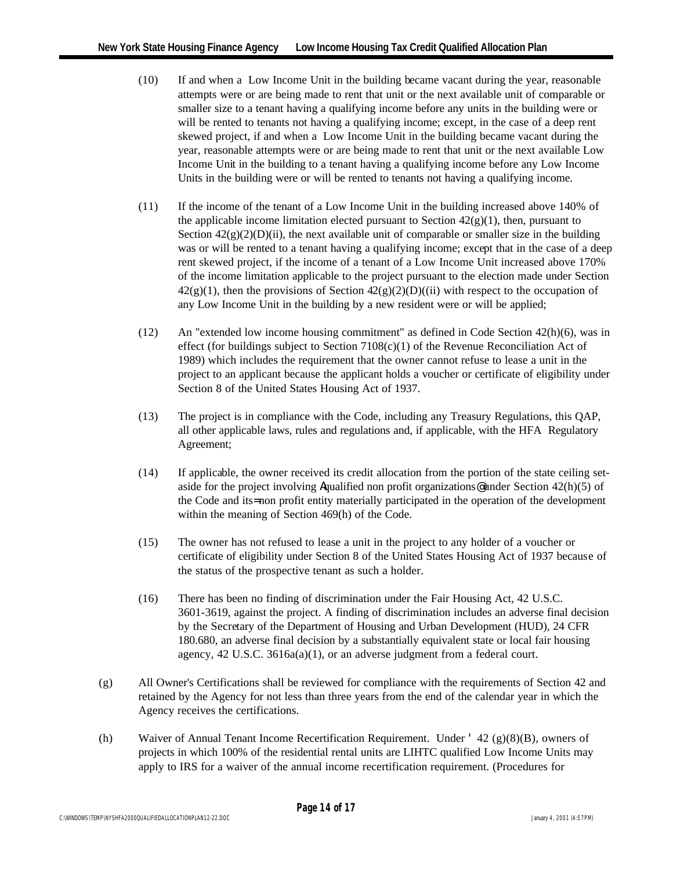- (10) If and when a Low Income Unit in the building became vacant during the year, reasonable attempts were or are being made to rent that unit or the next available unit of comparable or smaller size to a tenant having a qualifying income before any units in the building were or will be rented to tenants not having a qualifying income; except, in the case of a deep rent skewed project, if and when a Low Income Unit in the building became vacant during the year, reasonable attempts were or are being made to rent that unit or the next available Low Income Unit in the building to a tenant having a qualifying income before any Low Income Units in the building were or will be rented to tenants not having a qualifying income.
- (11) If the income of the tenant of a Low Income Unit in the building increased above 140% of the applicable income limitation elected pursuant to Section  $42(g)(1)$ , then, pursuant to Section  $42(g)(2)(D)(ii)$ , the next available unit of comparable or smaller size in the building was or will be rented to a tenant having a qualifying income; except that in the case of a deep rent skewed project, if the income of a tenant of a Low Income Unit increased above 170% of the income limitation applicable to the project pursuant to the election made under Section  $42(g)(1)$ , then the provisions of Section  $42(g)(2)(D)((ii)$  with respect to the occupation of any Low Income Unit in the building by a new resident were or will be applied;
- (12) An "extended low income housing commitment" as defined in Code Section 42(h)(6), was in effect (for buildings subject to Section  $7108(c)(1)$  of the Revenue Reconciliation Act of 1989) which includes the requirement that the owner cannot refuse to lease a unit in the project to an applicant because the applicant holds a voucher or certificate of eligibility under Section 8 of the United States Housing Act of 1937.
- (13) The project is in compliance with the Code, including any Treasury Regulations, this QAP, all other applicable laws, rules and regulations and, if applicable, with the HFA Regulatory Agreement;
- (14) If applicable, the owner received its credit allocation from the portion of the state ceiling setaside for the project involving Aqualified non profit organizations@ under Section  $42(h)(5)$  of the Code and its= non profit entity materially participated in the operation of the development within the meaning of Section 469(h) of the Code.
- (15) The owner has not refused to lease a unit in the project to any holder of a voucher or certificate of eligibility under Section 8 of the United States Housing Act of 1937 because of the status of the prospective tenant as such a holder.
- (16) There has been no finding of discrimination under the Fair Housing Act, 42 U.S.C. 3601-3619, against the project. A finding of discrimination includes an adverse final decision by the Secretary of the Department of Housing and Urban Development (HUD), 24 CFR 180.680, an adverse final decision by a substantially equivalent state or local fair housing agency, 42 U.S.C. 3616a(a)(1), or an adverse judgment from a federal court.
- (g) All Owner's Certifications shall be reviewed for compliance with the requirements of Section 42 and retained by the Agency for not less than three years from the end of the calendar year in which the Agency receives the certifications.
- (h) Waiver of Annual Tenant Income Recertification Requirement. Under ' 42 (g)(8)(B), owners of projects in which 100% of the residential rental units are LIHTC qualified Low Income Units may apply to IRS for a waiver of the annual income recertification requirement. (Procedures for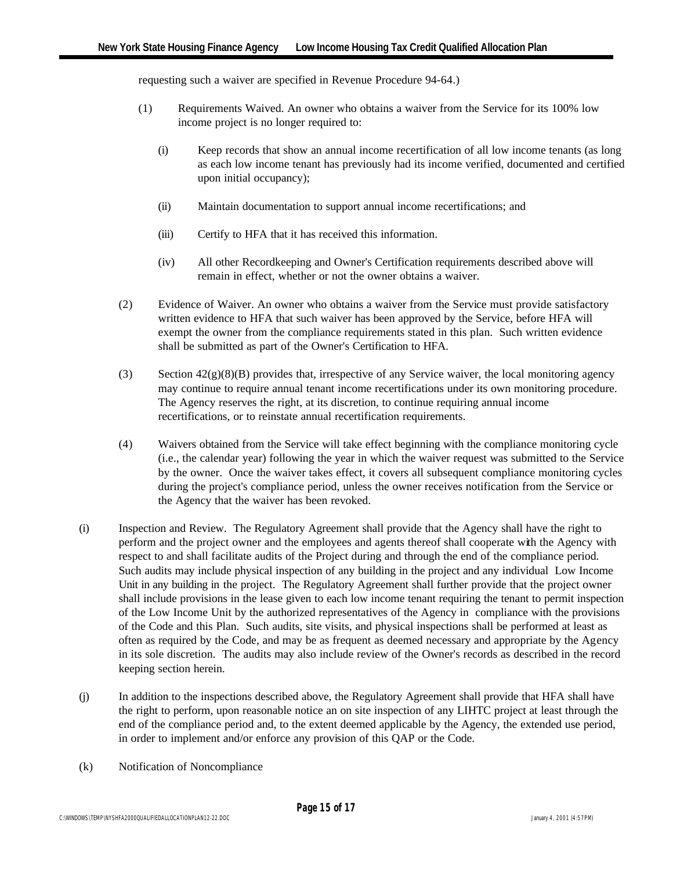requesting such a waiver are specified in Revenue Procedure 94-64.)

- (1) Requirements Waived. An owner who obtains a waiver from the Service for its 100% low income project is no longer required to:
	- (i) Keep records that show an annual income recertification of all low income tenants (as long as each low income tenant has previously had its income verified, documented and certified upon initial occupancy);
	- (ii) Maintain documentation to support annual income recertifications; and
	- (iii) Certify to HFA that it has received this information.
	- (iv) All other Recordkeeping and Owner's Certification requirements described above will remain in effect, whether or not the owner obtains a waiver.
- (2) Evidence of Waiver. An owner who obtains a waiver from the Service must provide satisfactory written evidence to HFA that such waiver has been approved by the Service, before HFA will exempt the owner from the compliance requirements stated in this plan. Such written evidence shall be submitted as part of the Owner's Certification to HFA.
- (3) Section  $42(g)(8)(B)$  provides that, irrespective of any Service waiver, the local monitoring agency may continue to require annual tenant income recertifications under its own monitoring procedure. The Agency reserves the right, at its discretion, to continue requiring annual income recertifications, or to reinstate annual recertification requirements.
- (4) Waivers obtained from the Service will take effect beginning with the compliance monitoring cycle (i.e., the calendar year) following the year in which the waiver request was submitted to the Service by the owner. Once the waiver takes effect, it covers all subsequent compliance monitoring cycles during the project's compliance period, unless the owner receives notification from the Service or the Agency that the waiver has been revoked.
- (i) Inspection and Review. The Regulatory Agreement shall provide that the Agency shall have the right to perform and the project owner and the employees and agents thereof shall cooperate with the Agency with respect to and shall facilitate audits of the Project during and through the end of the compliance period. Such audits may include physical inspection of any building in the project and any individual Low Income Unit in any building in the project. The Regulatory Agreement shall further provide that the project owner shall include provisions in the lease given to each low income tenant requiring the tenant to permit inspection of the Low Income Unit by the authorized representatives of the Agency in compliance with the provisions of the Code and this Plan. Such audits, site visits, and physical inspections shall be performed at least as often as required by the Code, and may be as frequent as deemed necessary and appropriate by the Agency in its sole discretion. The audits may also include review of the Owner's records as described in the record keeping section herein.
- (j) In addition to the inspections described above, the Regulatory Agreement shall provide that HFA shall have the right to perform, upon reasonable notice an on site inspection of any LIHTC project at least through the end of the compliance period and, to the extent deemed applicable by the Agency, the extended use period, in order to implement and/or enforce any provision of this QAP or the Code.
- (k) Notification of Noncompliance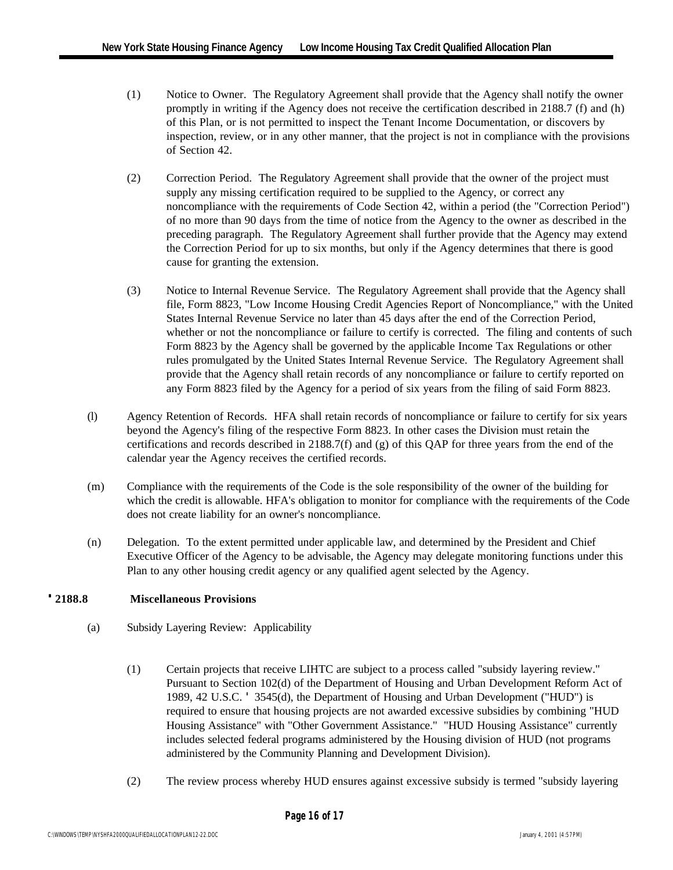- (1) Notice to Owner. The Regulatory Agreement shall provide that the Agency shall notify the owner promptly in writing if the Agency does not receive the certification described in 2188.7 (f) and (h) of this Plan, or is not permitted to inspect the Tenant Income Documentation, or discovers by inspection, review, or in any other manner, that the project is not in compliance with the provisions of Section 42.
- (2) Correction Period. The Regulatory Agreement shall provide that the owner of the project must supply any missing certification required to be supplied to the Agency, or correct any noncompliance with the requirements of Code Section 42, within a period (the "Correction Period") of no more than 90 days from the time of notice from the Agency to the owner as described in the preceding paragraph. The Regulatory Agreement shall further provide that the Agency may extend the Correction Period for up to six months, but only if the Agency determines that there is good cause for granting the extension.
- (3) Notice to Internal Revenue Service. The Regulatory Agreement shall provide that the Agency shall file, Form 8823, "Low Income Housing Credit Agencies Report of Noncompliance," with the United States Internal Revenue Service no later than 45 days after the end of the Correction Period, whether or not the noncompliance or failure to certify is corrected. The filing and contents of such Form 8823 by the Agency shall be governed by the applicable Income Tax Regulations or other rules promulgated by the United States Internal Revenue Service. The Regulatory Agreement shall provide that the Agency shall retain records of any noncompliance or failure to certify reported on any Form 8823 filed by the Agency for a period of six years from the filing of said Form 8823.
- (l) Agency Retention of Records. HFA shall retain records of noncompliance or failure to certify for six years beyond the Agency's filing of the respective Form 8823. In other cases the Division must retain the certifications and records described in 2188.7(f) and (g) of this QAP for three years from the end of the calendar year the Agency receives the certified records.
- (m) Compliance with the requirements of the Code is the sole responsibility of the owner of the building for which the credit is allowable. HFA's obligation to monitor for compliance with the requirements of the Code does not create liability for an owner's noncompliance.
- (n) Delegation. To the extent permitted under applicable law, and determined by the President and Chief Executive Officer of the Agency to be advisable, the Agency may delegate monitoring functions under this Plan to any other housing credit agency or any qualified agent selected by the Agency.

## **''2188.8 Miscellaneous Provisions**

- (a) Subsidy Layering Review: Applicability
	- (1) Certain projects that receive LIHTC are subject to a process called "subsidy layering review." Pursuant to Section 102(d) of the Department of Housing and Urban Development Reform Act of 1989, 42 U.S.C. ' 3545(d), the Department of Housing and Urban Development ("HUD") is required to ensure that housing projects are not awarded excessive subsidies by combining "HUD Housing Assistance" with "Other Government Assistance." "HUD Housing Assistance" currently includes selected federal programs administered by the Housing division of HUD (not programs administered by the Community Planning and Development Division).
	- (2) The review process whereby HUD ensures against excessive subsidy is termed "subsidy layering